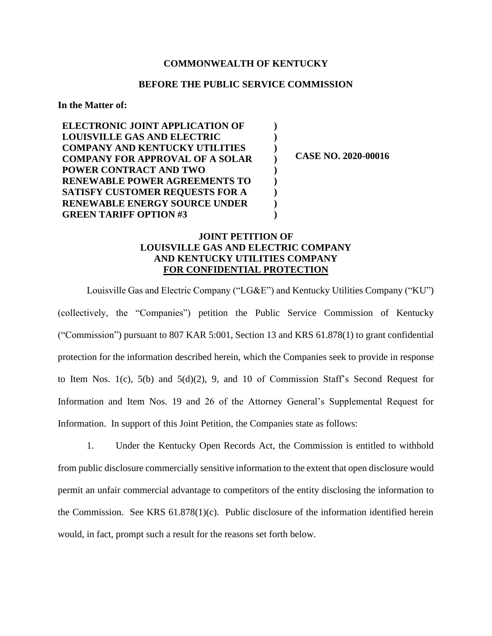## **COMMONWEALTH OF KENTUCKY**

## **BEFORE THE PUBLIC SERVICE COMMISSION**

**) ) ) ) ) ) ) ) )**

#### **In the Matter of:**

**ELECTRONIC JOINT APPLICATION OF LOUISVILLE GAS AND ELECTRIC COMPANY AND KENTUCKY UTILITIES COMPANY FOR APPROVAL OF A SOLAR POWER CONTRACT AND TWO RENEWABLE POWER AGREEMENTS TO SATISFY CUSTOMER REQUESTS FOR A RENEWABLE ENERGY SOURCE UNDER GREEN TARIFF OPTION #3**

**CASE NO. 2020-00016**

# **JOINT PETITION OF LOUISVILLE GAS AND ELECTRIC COMPANY AND KENTUCKY UTILITIES COMPANY FOR CONFIDENTIAL PROTECTION**

Louisville Gas and Electric Company ("LG&E") and Kentucky Utilities Company ("KU") (collectively, the "Companies") petition the Public Service Commission of Kentucky ("Commission") pursuant to 807 KAR 5:001, Section 13 and KRS 61.878(1) to grant confidential protection for the information described herein, which the Companies seek to provide in response to Item Nos. 1(c), 5(b) and 5(d)(2), 9, and 10 of Commission Staff's Second Request for Information and Item Nos. 19 and 26 of the Attorney General's Supplemental Request for Information. In support of this Joint Petition, the Companies state as follows:

1. Under the Kentucky Open Records Act, the Commission is entitled to withhold from public disclosure commercially sensitive information to the extent that open disclosure would permit an unfair commercial advantage to competitors of the entity disclosing the information to the Commission. See KRS 61.878(1)(c). Public disclosure of the information identified herein would, in fact, prompt such a result for the reasons set forth below.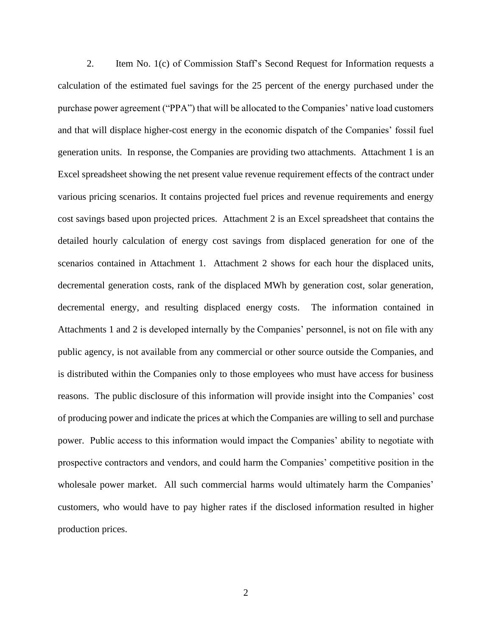2. Item No. 1(c) of Commission Staff's Second Request for Information requests a calculation of the estimated fuel savings for the 25 percent of the energy purchased under the purchase power agreement ("PPA") that will be allocated to the Companies' native load customers and that will displace higher-cost energy in the economic dispatch of the Companies' fossil fuel generation units. In response, the Companies are providing two attachments. Attachment 1 is an Excel spreadsheet showing the net present value revenue requirement effects of the contract under various pricing scenarios. It contains projected fuel prices and revenue requirements and energy cost savings based upon projected prices. Attachment 2 is an Excel spreadsheet that contains the detailed hourly calculation of energy cost savings from displaced generation for one of the scenarios contained in Attachment 1. Attachment 2 shows for each hour the displaced units, decremental generation costs, rank of the displaced MWh by generation cost, solar generation, decremental energy, and resulting displaced energy costs. The information contained in Attachments 1 and 2 is developed internally by the Companies' personnel, is not on file with any public agency, is not available from any commercial or other source outside the Companies, and is distributed within the Companies only to those employees who must have access for business reasons. The public disclosure of this information will provide insight into the Companies' cost of producing power and indicate the prices at which the Companies are willing to sell and purchase power. Public access to this information would impact the Companies' ability to negotiate with prospective contractors and vendors, and could harm the Companies' competitive position in the wholesale power market. All such commercial harms would ultimately harm the Companies' customers, who would have to pay higher rates if the disclosed information resulted in higher production prices.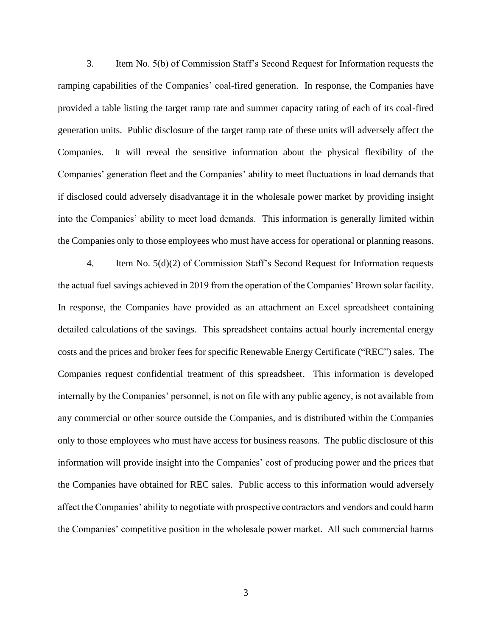3. Item No. 5(b) of Commission Staff's Second Request for Information requests the ramping capabilities of the Companies' coal-fired generation. In response, the Companies have provided a table listing the target ramp rate and summer capacity rating of each of its coal-fired generation units. Public disclosure of the target ramp rate of these units will adversely affect the Companies. It will reveal the sensitive information about the physical flexibility of the Companies' generation fleet and the Companies' ability to meet fluctuations in load demands that if disclosed could adversely disadvantage it in the wholesale power market by providing insight into the Companies' ability to meet load demands. This information is generally limited within the Companies only to those employees who must have access for operational or planning reasons.

4. Item No. 5(d)(2) of Commission Staff's Second Request for Information requests the actual fuel savings achieved in 2019 from the operation of the Companies' Brown solar facility. In response, the Companies have provided as an attachment an Excel spreadsheet containing detailed calculations of the savings. This spreadsheet contains actual hourly incremental energy costs and the prices and broker fees for specific Renewable Energy Certificate ("REC") sales. The Companies request confidential treatment of this spreadsheet. This information is developed internally by the Companies' personnel, is not on file with any public agency, is not available from any commercial or other source outside the Companies, and is distributed within the Companies only to those employees who must have access for business reasons. The public disclosure of this information will provide insight into the Companies' cost of producing power and the prices that the Companies have obtained for REC sales. Public access to this information would adversely affect the Companies' ability to negotiate with prospective contractors and vendors and could harm the Companies' competitive position in the wholesale power market. All such commercial harms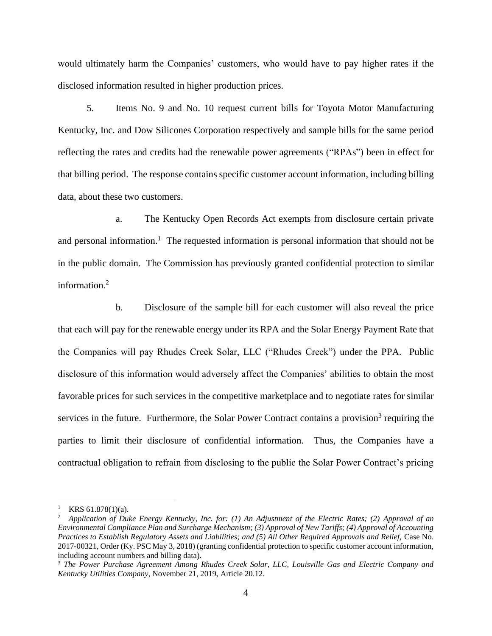would ultimately harm the Companies' customers, who would have to pay higher rates if the disclosed information resulted in higher production prices.

5. Items No. 9 and No. 10 request current bills for Toyota Motor Manufacturing Kentucky, Inc. and Dow Silicones Corporation respectively and sample bills for the same period reflecting the rates and credits had the renewable power agreements ("RPAs") been in effect for that billing period. The response contains specific customer account information, including billing data, about these two customers.

a. The Kentucky Open Records Act exempts from disclosure certain private and personal information.<sup>1</sup> The requested information is personal information that should not be in the public domain. The Commission has previously granted confidential protection to similar information. 2

b. Disclosure of the sample bill for each customer will also reveal the price that each will pay for the renewable energy under its RPA and the Solar Energy Payment Rate that the Companies will pay Rhudes Creek Solar, LLC ("Rhudes Creek") under the PPA. Public disclosure of this information would adversely affect the Companies' abilities to obtain the most favorable prices for such services in the competitive marketplace and to negotiate rates for similar services in the future. Furthermore, the Solar Power Contract contains a provision<sup>3</sup> requiring the parties to limit their disclosure of confidential information. Thus, the Companies have a contractual obligation to refrain from disclosing to the public the Solar Power Contract's pricing

 $KRS 61.878(1)(a)$ .

<sup>2</sup> *Application of Duke Energy Kentucky, Inc. for: (1) An Adjustment of the Electric Rates; (2) Approval of an Environmental Compliance Plan and Surcharge Mechanism; (3) Approval of New Tariffs; (4) Approval of Accounting Practices to Establish Regulatory Assets and Liabilities; and (5) All Other Required Approvals and Relief,* Case No. 2017-00321, Order (Ky. PSC May 3, 2018) (granting confidential protection to specific customer account information, including account numbers and billing data).

<sup>3</sup> *The Power Purchase Agreement Among Rhudes Creek Solar, LLC, Louisville Gas and Electric Company and Kentucky Utilities Company*, November 21, 2019, Article 20.12.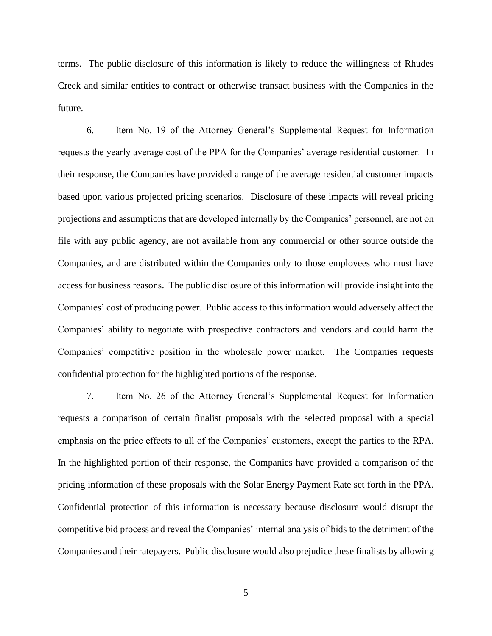terms. The public disclosure of this information is likely to reduce the willingness of Rhudes Creek and similar entities to contract or otherwise transact business with the Companies in the future.

6. Item No. 19 of the Attorney General's Supplemental Request for Information requests the yearly average cost of the PPA for the Companies' average residential customer. In their response, the Companies have provided a range of the average residential customer impacts based upon various projected pricing scenarios. Disclosure of these impacts will reveal pricing projections and assumptions that are developed internally by the Companies' personnel, are not on file with any public agency, are not available from any commercial or other source outside the Companies, and are distributed within the Companies only to those employees who must have access for business reasons. The public disclosure of this information will provide insight into the Companies' cost of producing power. Public access to this information would adversely affect the Companies' ability to negotiate with prospective contractors and vendors and could harm the Companies' competitive position in the wholesale power market. The Companies requests confidential protection for the highlighted portions of the response.

7. Item No. 26 of the Attorney General's Supplemental Request for Information requests a comparison of certain finalist proposals with the selected proposal with a special emphasis on the price effects to all of the Companies' customers, except the parties to the RPA. In the highlighted portion of their response, the Companies have provided a comparison of the pricing information of these proposals with the Solar Energy Payment Rate set forth in the PPA. Confidential protection of this information is necessary because disclosure would disrupt the competitive bid process and reveal the Companies' internal analysis of bids to the detriment of the Companies and their ratepayers. Public disclosure would also prejudice these finalists by allowing

5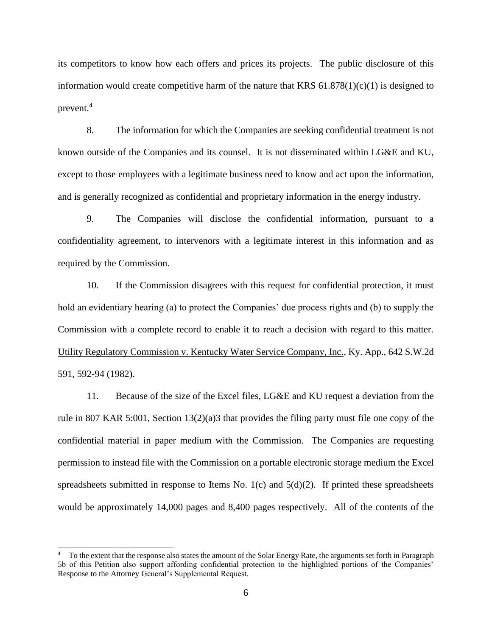its competitors to know how each offers and prices its projects. The public disclosure of this information would create competitive harm of the nature that KRS  $61.878(1)(c)(1)$  is designed to prevent. $4$ 

8. The information for which the Companies are seeking confidential treatment is not known outside of the Companies and its counsel. It is not disseminated within LG&E and KU, except to those employees with a legitimate business need to know and act upon the information, and is generally recognized as confidential and proprietary information in the energy industry.

9. The Companies will disclose the confidential information, pursuant to a confidentiality agreement, to intervenors with a legitimate interest in this information and as required by the Commission.

10. If the Commission disagrees with this request for confidential protection, it must hold an evidentiary hearing (a) to protect the Companies' due process rights and (b) to supply the Commission with a complete record to enable it to reach a decision with regard to this matter. Utility Regulatory Commission v. Kentucky Water Service Company, Inc., Ky. App., 642 S.W.2d 591, 592-94 (1982).

11. Because of the size of the Excel files, LG&E and KU request a deviation from the rule in 807 KAR 5:001, Section 13(2)(a)3 that provides the filing party must file one copy of the confidential material in paper medium with the Commission. The Companies are requesting permission to instead file with the Commission on a portable electronic storage medium the Excel spreadsheets submitted in response to Items No.  $1(c)$  and  $5(d)(2)$ . If printed these spreadsheets would be approximately 14,000 pages and 8,400 pages respectively. All of the contents of the

<sup>4</sup> To the extent that the response also states the amount of the Solar Energy Rate, the arguments set forth in Paragraph 5b of this Petition also support affording confidential protection to the highlighted portions of the Companies' Response to the Attorney General's Supplemental Request.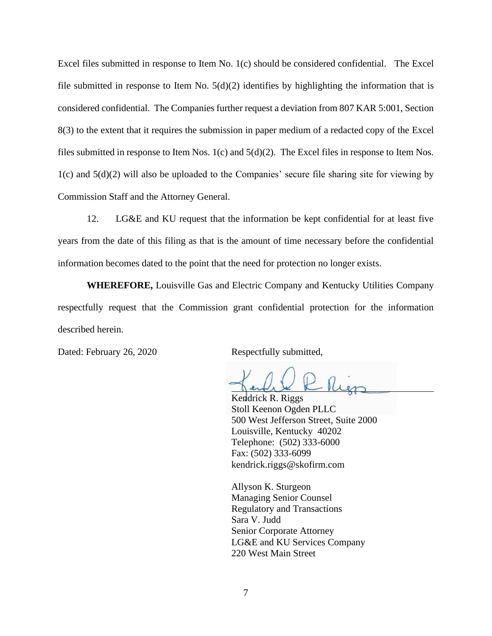Excel files submitted in response to Item No. 1(c) should be considered confidential. The Excel file submitted in response to Item No.  $5(d)(2)$  identifies by highlighting the information that is considered confidential. The Companies further request a deviation from 807 KAR 5:001, Section 8(3) to the extent that it requires the submission in paper medium of a redacted copy of the Excel files submitted in response to Item Nos. 1(c) and 5(d)(2). The Excel files in response to Item Nos. 1(c) and 5(d)(2) will also be uploaded to the Companies' secure file sharing site for viewing by Commission Staff and the Attorney General.

12. LG&E and KU request that the information be kept confidential for at least five years from the date of this filing as that is the amount of time necessary before the confidential information becomes dated to the point that the need for protection no longer exists.

**WHEREFORE,** Louisville Gas and Electric Company and Kentucky Utilities Company respectfully request that the Commission grant confidential protection for the information described herein.

Dated: February 26, 2020 Respectfully submitted,

Kendrick R. Riggs Stoll Keenon Ogden PLLC 500 West Jefferson Street, Suite 2000 Louisville, Kentucky 40202 Telephone: (502) 333-6000 Fax: (502) 333-6099 kendrick.riggs@skofirm.com

Allyson K. Sturgeon Managing Senior Counsel Regulatory and Transactions Sara V. Judd Senior Corporate Attorney LG&E and KU Services Company 220 West Main Street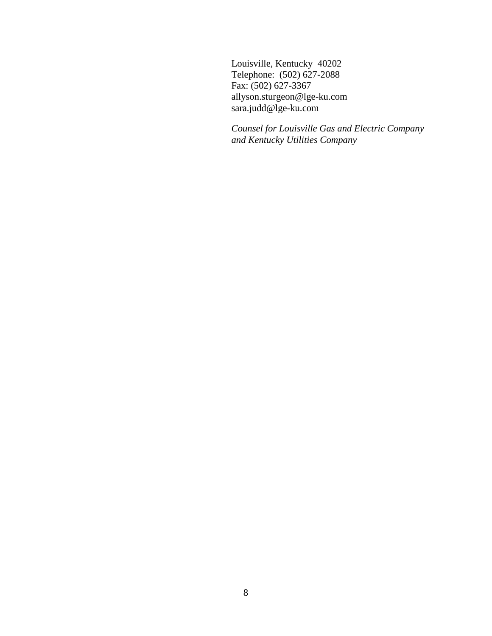Louisville, Kentucky 40202 Telephone: (502) 627-2088 Fax: (502) 627-3367 allyson.sturgeon@lge-ku.com sara.judd@lge-ku.com

*Counsel for Louisville Gas and Electric Company and Kentucky Utilities Company*